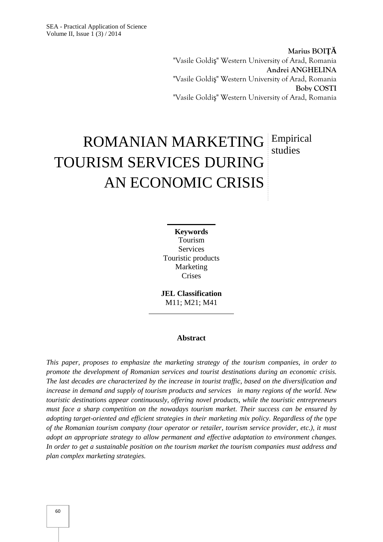**Marius BOI** "Vasile Goldi " Western University of Arad, Romania **Andrei ANGHELINA** "Vasile Goldi " Western University of Arad, Romania **Boby COSTI** "Vasile Goldi " Western University of Arad, Romania

# ROMANIAN MARKETING Empirical TOURISM SERVICES DURING AN ECONOMIC CRISIS studies

**Keywords** Tourism **Services** Touristic products Marketing Crises

**JEL Classification** M11; M21; M41

#### **Abstract**

*This paper, proposes to emphasize the marketing strategy of the tourism companies, in order to promote the development of Romanian services and tourist destinations during an economic crisis. The last decades are characterized by the increase in tourist traffic, based on the diversification and increase in demand and supply of tourism products and services in many regions of the world. New touristic destinations appear continuously, offering novel products, while the touristic entrepreneurs must face a sharp competition on the nowadays tourism market. Their success can be ensured by adopting target-oriented and efficient strategies in their marketing mix policy. Regardless of the type of the Romanian tourism company (tour operator or retailer, tourism service provider, etc.), it must adopt an appropriate strategy to allow permanent and effective adaptation to environment changes. In order to get a sustainable position on the tourism market the tourism companies must address and plan complex marketing strategies.*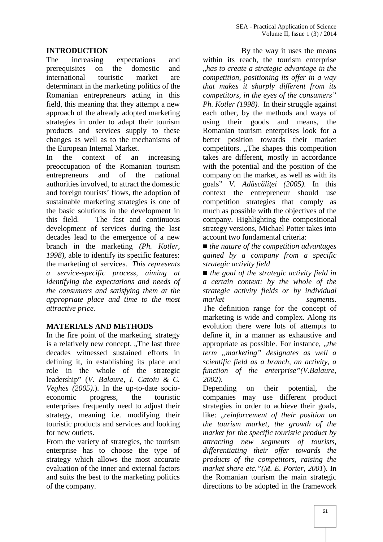## **INTRODUCTION**

The increasing expectations and prerequisites on the domestic and international touristic market are determinant in the marketing politics of the Romanian entrepreneurs acting in this field, this meaning that they attempt a new approach of the already adopted marketing strategies in order to adapt their tourism products and services supply to these changes as well as to the mechanisms of the European Internal Market.

In the context of an increasing preoccupation of the Romanian tourism entrepreneurs and of the national authorities involved, to attract the domestic and foreign tourists' flows, the adoption of sustainable marketing strategies is one of the basic solutions in the development in this field. The fast and continuous development of services during the last decades lead to the emergence of a new branch in the marketing *(Ph. Kotler, 1998),* able to identify its specific features: the marketing of services. *This represents a service-specific process, aiming at identifying the expectations and needs of the consumers and satisfying them at the appropriate place and time to the most attractive price.*

## **MATERIALS AND METHODS**

In the fire point of the marketing, strategy is a relatively new concept. "The last three decades witnessed sustained efforts in defining it, in establishing its place and role in the whole of the strategic leadership" (*V. Balaure, I. Catoiu & C. Veghes (2005)*.). In the up-to-date socio economic progress, the touristic enterprises frequently need to adjust their strategy, meaning i.e. modifying their touristic products and services and looking for new outlets.

From the variety of strategies, the tourism enterprise has to choose the type of strategy which allows the most accurate evaluation of the inner and external factors and suits the best to the marketing politics of the company.

By the way it uses the means within its reach, the tourism enterprise "*has to create a strategic advantage in the competition, positioning its offer in a way that makes it sharply different from its competitors, in the eyes of the consumers" Ph. Kotler (1998).* In their struggle against each other, by the methods and ways of using their goods and means, the Romanian tourism enterprises look for a better position towards their market competitors. "The shapes this competition takes are different, mostly in accordance with the potential and the position of the company on the market, as well as with its goals" *V. Ad sc li ei* (2005). In this context the entrepreneur should use competition strategies that comply as much as possible with the objectives of the company. Highlighting the compositional strategy versions, Michael Potter takes into account two fundamental criteria:

*the nature of the competition advantages gained by a company from a specific strategic activity field*

*the goal of the strategic activity field in a certain context: by the whole of the strategic activity fields or by individual market segments*. The definition range for the concept of marketing is wide and complex. Along its evolution there were lots of attempts to define it, in a manner as exhaustive and appropriate as possible. For instance, "*the term "marketing" designates as well a scientific field as a branch, an activity, a function of the enterprise"(V.Balaure, 2002).*

Depending on their potential, the companies may use different product strategies in order to achieve their goals, like: "*reinforcement of their position on the tourism market, the growth of the market for the specific touristic product by attracting new segments of tourists, differentiating their offer towards the products of the competitors, raising the market share etc."(M. E. Porter, 2001*). In the Romanian tourism the main strategic directions to be adopted in the framework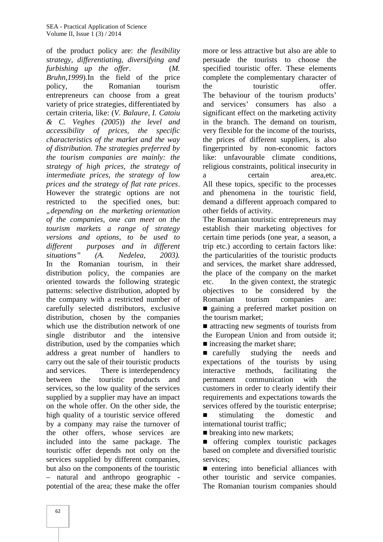of the product policy are: *the flexibility strategy, differentiating, diversifying and furbishing up the offer*. (*M. Bruhn,1999*).In the field of the price policy, the Romanian tourism entrepreneurs can choose from a great variety of price strategies, differentiated by certain criteria, like: (*V. Balaure, I. Catoiu & C. Veghes (2005*)) *the level and accessibility of prices, the specific characteristics of the market and the way of distribution. The strategies preferred by the tourism companies are mainly: the strategy of high prices, the strategy of intermediate prices, the strategy of low prices and the strategy of flat rate prices*. However the strategic options are not restricted to the specified ones, but: *"depending on the marketing orientation of the companies, one can meet on the tourism markets a range of strategy versions and options, to be used to different purposes and in different situations" (A. Nedelea, 2003).* In the Romanian tourism, in their distribution policy, the companies are oriented towards the following strategic patterns: selective distribution, adopted by the company with a restricted number of carefully selected distributors, exclusive distribution, chosen by the companies which use the distribution network of one single distributor and the intensive distribution, used by the companies which address a great number of handlers to carry out the sale of their touristic products and services. There is interdependency interactive between the touristic products and permanent services, so the low quality of the services supplied by a supplier may have an impact on the whole offer. On the other side, the high quality of a touristic service offered by a company may raise the turnover of the other offers, whose services are included into the same package. The touristic offer depends not only on the services supplied by different companies, but also on the components of the touristic – natural and anthropo geographic potential of the area; these make the offer

more or less attractive but also are able to persuade the tourists to choose the specified touristic offer. These elements complete the complementary character of touristic offer. The behaviour of the tourism products' and services' consumers has also a significant effect on the marketing activity in the branch. The demand on tourism, very flexible for the income of the tourists, the prices of different suppliers, is also fingerprinted by non-economic factors like: unfavourable climate conditions, religious constraints, political insecurity in certain area, etc. All these topics, specific to the processes and phenomena in the touristic field, demand a different approach compared to other fields of activity.

The Romanian touristic entrepreneurs may establish their marketing objectives for certain time periods (one year, a season, a trip etc.) according to certain factors like: the particularities of the touristic products and services, the market share addressed, the place of the company on the market In the given context, the strategic objectives to be considered by the Romanian tourism companies are: gaining a preferred market position on the tourism market;

attracting new segments of tourists from the European Union and from outside it; increasing the market share;

carefully studying the needs and expectations of the tourists by using methods, facilitating the communication with the customers in order to clearly identify their requirements and expectations towards the services offered by the touristic enterprise;

stimulating the domestic and international tourist traffic;

breaking into new markets;

offering complex touristic packages based on complete and diversified touristic services;

entering into beneficial alliances with other touristic and service companies. The Romanian tourism companies should